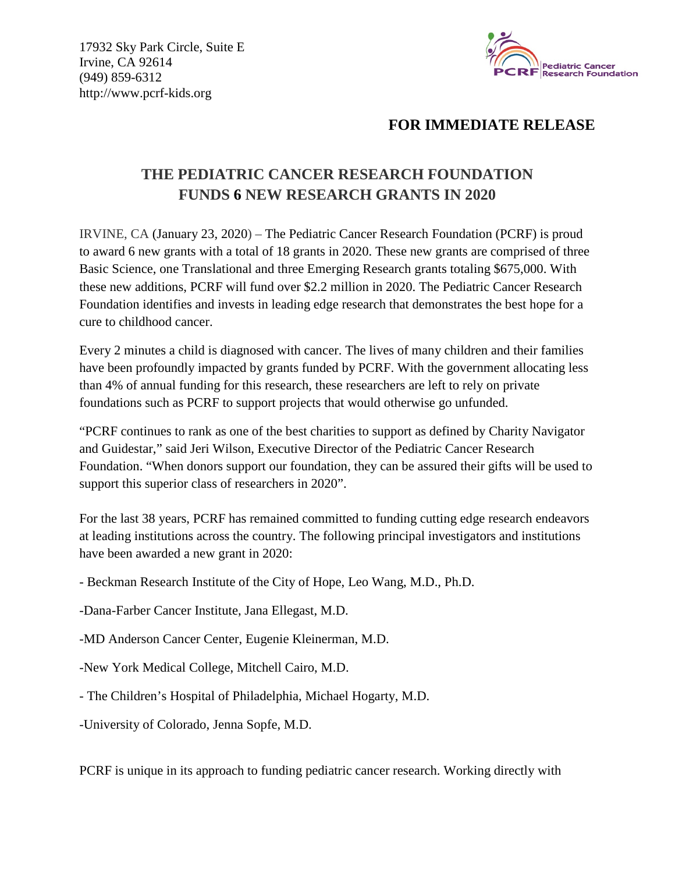17932 Sky Park Circle, Suite E Irvine, CA 92614 (949) 859-6312 http://www.pcrf-kids.org



## **FOR IMMEDIATE RELEASE**

## **THE PEDIATRIC CANCER RESEARCH FOUNDATION FUNDS 6 NEW RESEARCH GRANTS IN 2020**

IRVINE, CA (January 23, 2020) – The Pediatric Cancer Research Foundation (PCRF) is proud to award 6 new grants with a total of 18 grants in 2020. These new grants are comprised of three Basic Science, one Translational and three Emerging Research grants totaling \$675,000. With these new additions, PCRF will fund over \$2.2 million in 2020. The Pediatric Cancer Research Foundation identifies and invests in leading edge research that demonstrates the best hope for a cure to childhood cancer.

Every 2 minutes a child is diagnosed with cancer. The lives of many children and their families have been profoundly impacted by grants funded by PCRF. With the government allocating less than 4% of annual funding for this research, these researchers are left to rely on private foundations such as PCRF to support projects that would otherwise go unfunded.

"PCRF continues to rank as one of the best charities to support as defined by Charity Navigator and Guidestar," said Jeri Wilson, Executive Director of the Pediatric Cancer Research Foundation. "When donors support our foundation, they can be assured their gifts will be used to support this superior class of researchers in 2020".

For the last 38 years, PCRF has remained committed to funding cutting edge research endeavors at leading institutions across the country. The following principal investigators and institutions have been awarded a new grant in 2020:

- Beckman Research Institute of the City of Hope, Leo Wang, M.D., Ph.D.

-Dana-Farber Cancer Institute, Jana Ellegast, M.D.

-MD Anderson Cancer Center, Eugenie Kleinerman, M.D.

-New York Medical College, Mitchell Cairo, M.D.

- The Children's Hospital of Philadelphia, Michael Hogarty, M.D.

-University of Colorado, Jenna Sopfe, M.D.

PCRF is unique in its approach to funding pediatric cancer research. Working directly with